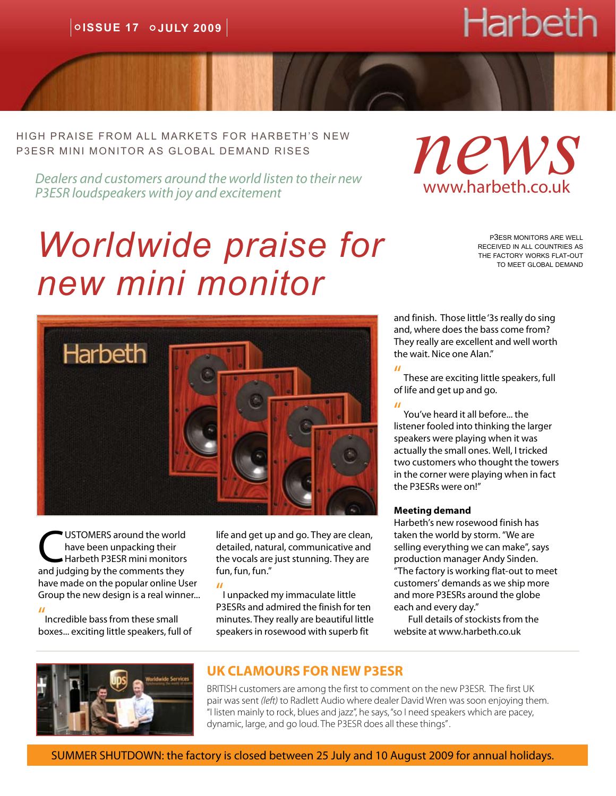

## Harbeth

HIGH PRAISE FROM ALL markets FOR HARBETH'S NEW P3ESR mini MONITOR as gLOBAL DEMAND rises

*P3ESR loudspeakers with joy and excitement*



# *Worldwide praise for new mini monitor*

p3esr monitors are well received in all countries as the factory works flat-out to meet global demand



 $\overline{u}$ 

USTOMERS around the world<br>
have been unpacking their<br>
Harbeth P3ESR mini monitors<br>
and judging by the comments they have been unpacking their and judging by the comments they have made on the popular online User Group the new design is a real winner...

" Incredible bass from these small boxes... exciting little speakers, full of life and get up and go. They are clean, detailed, natural, communicative and the vocals are just stunning. They are fun, fun, fun."

I unpacked my immaculate little P3ESRs and admired the finish for ten minutes. They really are beautiful little speakers in rosewood with superb fit

and finish. Those little '3s really do sing and, where does the bass come from? They really are excellent and well worth the wait. Nice one Alan."

" These are exciting little speakers, full of life and get up and go.

" You've heard it all before... the listener fooled into thinking the larger speakers were playing when it was actually the small ones. Well, I tricked two customers who thought the towers in the corner were playing when in fact the P3ESRs were on!"

#### **Meeting demand**

Harbeth's new rosewood finish has taken the world by storm. "We are selling everything we can make", says production manager Andy Sinden. "The factory is working flat-out to meet customers' demands as we ship more and more P3ESRs around the globe each and every day."

Full details of stockists from the website at www.harbeth.co.uk



#### **UK CLAMOURS FOR NEW P3ESR**

BRITISH customers are among the first to comment on the new P3ESR. The first UK pair was sent *(left)* to Radlett Audio where dealer David Wren was soon enjoying them. "I listen mainly to rock, blues and jazz", he says, "so I need speakers which are pacey, dynamic, large, and go loud. The P3ESR does all these things" .

SUMMER SHUTDOWN: the factory is closed between 25 July and 10 August 2009 for annual holidays.